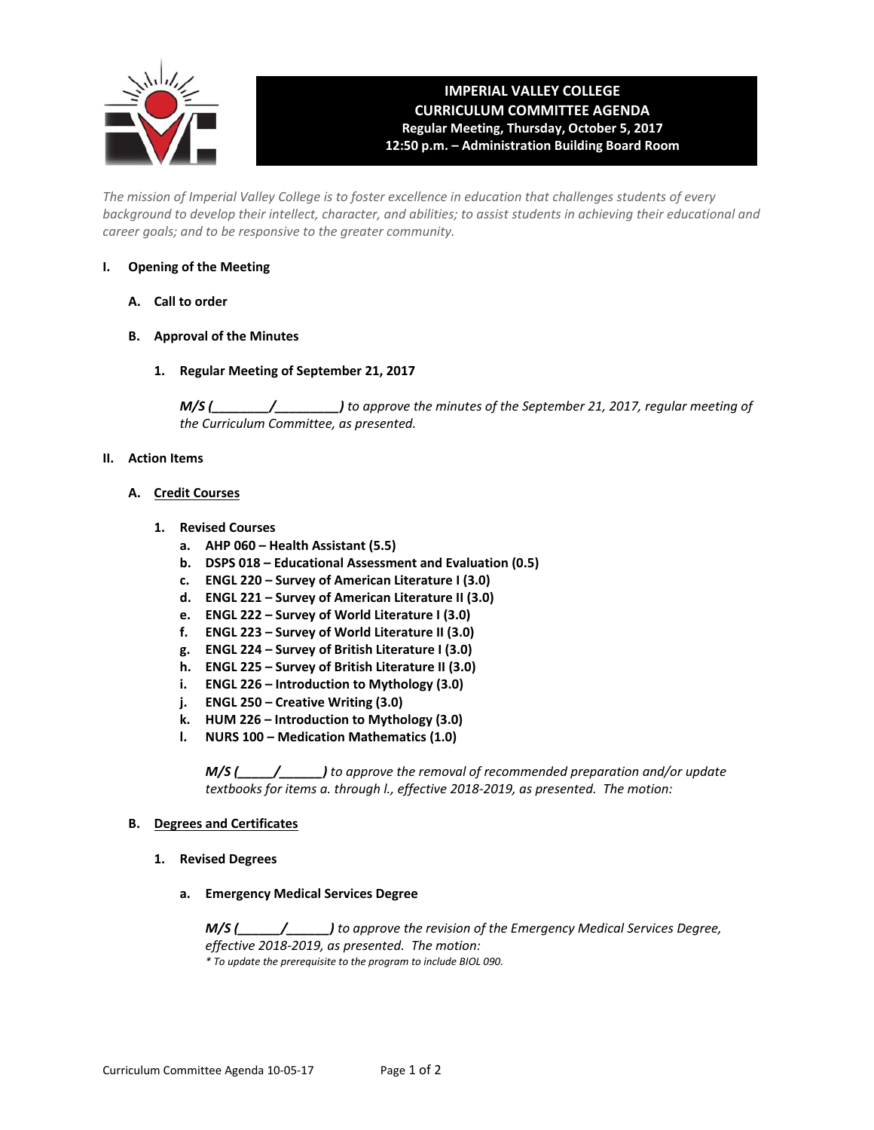

# **IMPERIAL VALLEY COLLEGE CURRICULUM COMMITTEE AGENDA Regular Meeting, Thursday, October 5, 2017 12:50 p.m. – Administration Building Board Room**

*The mission of Imperial Valley College is to foster excellence in education that challenges students of every background to develop their intellect, character, and abilities; to assist students in achieving their educational and career goals; and to be responsive to the greater community.* 

# **I. Opening of the Meeting**

- **A. Call to order**
- **B. Approval of the Minutes** 
	- **1. Regular Meeting of September 21, 2017**

*M/S (\_\_\_\_\_\_\_\_/\_\_\_\_\_\_\_\_\_) to approve the minutes of the September 21, 2017, regular meeting of*  the Curriculum Committee, as presented.

# **II. Action Items**

# **A. Credit Courses**

- **1. Revised Courses** 
	- **a. AHP 060 Health Assistant (5.5)**
	- **b. DSPS 018 Educational Assessment and Evaluation (0.5)**
	- **c. ENGL 220 Survey of American Literature I (3.0)**
	- **d. ENGL 221 Survey of American Literature II (3.0)**
	- **e. ENGL 222 Survey of World Literature I (3.0)**
	- **f. ENGL 223 Survey of World Literature II (3.0)**
	- **g. ENGL 224 Survey of British Literature I (3.0)**
	- **h. ENGL 225 Survey of British Literature II (3.0)**
	- **i. ENGL 226 Introduction to Mythology (3.0)**
	- **j. ENGL 250 Creative Writing (3.0)**
	- **k. HUM 226 Introduction to Mythology (3.0)**
	- **l. NURS 100 Medication Mathematics (1.0)**

*M/S (\_\_\_\_\_/\_\_\_\_\_\_) to approve the removal of recommended preparation and/or update textbooks for items a. through l., effective 2018‐2019, as presented. The motion:* 

# **B. Degrees and Certificates**

- **1. Revised Degrees** 
	- **a. Emergency Medical Services Degree**

*M/S (\_\_\_\_\_\_/\_\_\_\_\_\_) to approve the revision of the Emergency Medical Services Degree, effective 2018‐2019, as presented. The motion: \* To update the prerequisite to the program to include BIOL 090.*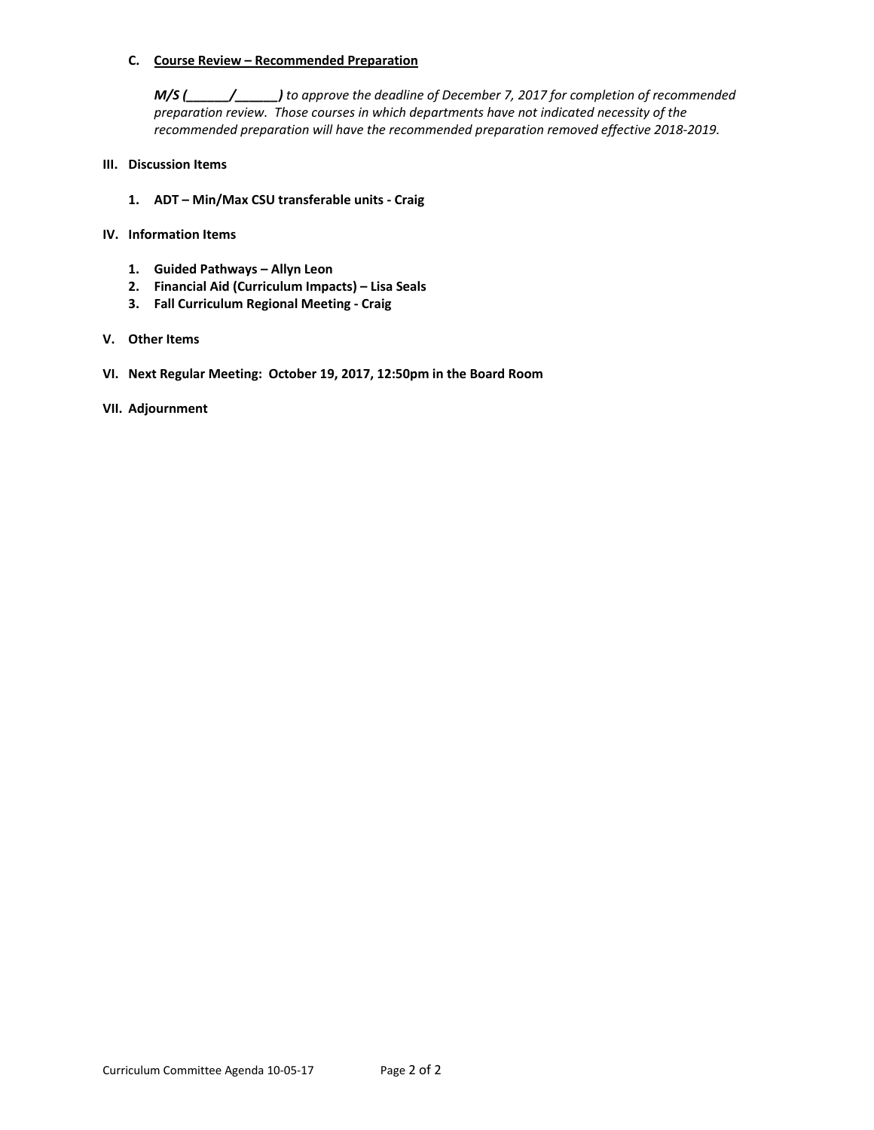## **C. Course Review – Recommended Preparation**

*M/S (\_\_\_\_\_\_/\_\_\_\_\_\_) to approve the deadline of December 7, 2017 for completion of recommended preparation review. Those courses in which departments have not indicated necessity of the recommended preparation will have the recommended preparation removed effective 2018‐2019.* 

# **III. Discussion Items**

- **1. ADT Min/Max CSU transferable units ‐ Craig**
- **IV. Information Items** 
	- **1. Guided Pathways Allyn Leon**
	- **2. Financial Aid (Curriculum Impacts) Lisa Seals**
	- **3. Fall Curriculum Regional Meeting ‐ Craig**

# **V. Other Items**

**VI. Next Regular Meeting: October 19, 2017, 12:50pm in the Board Room**

# **VII. Adjournment**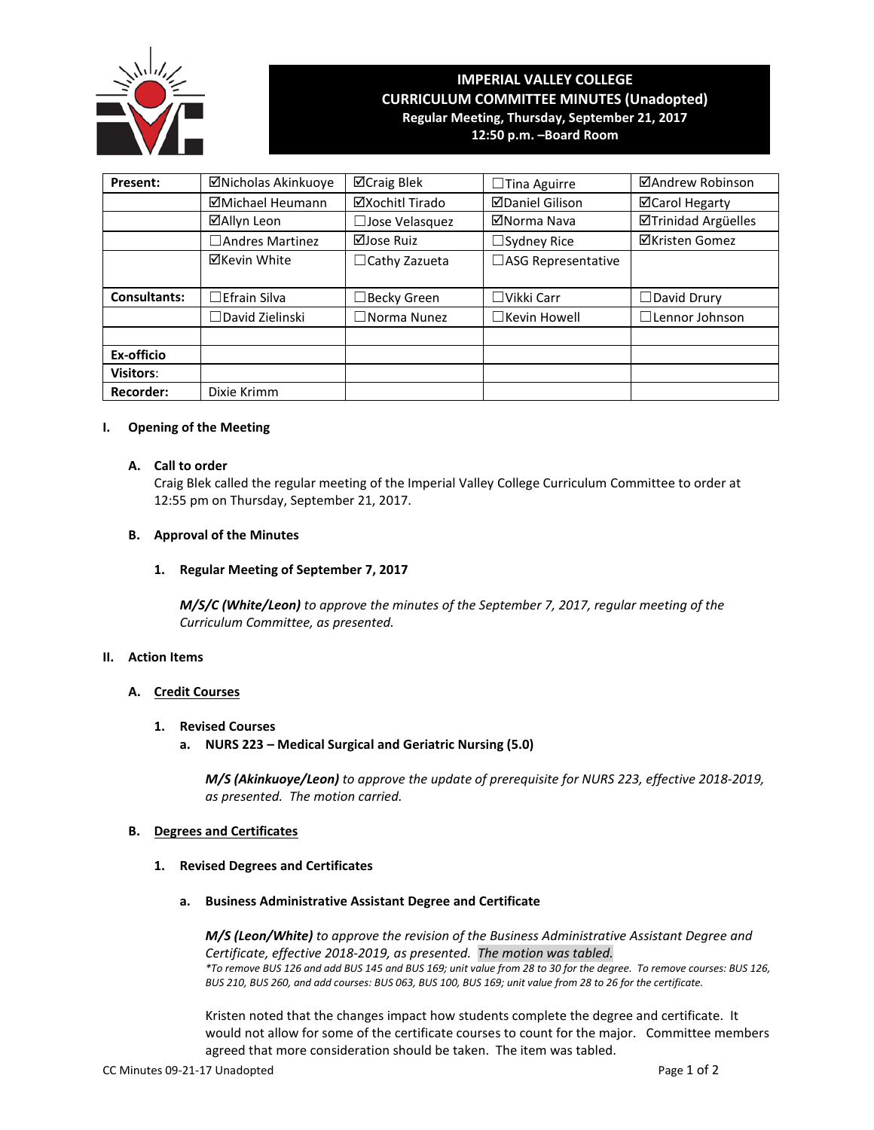

# **IMPERIAL VALLEY COLLEGE CURRICULUM COMMITTEE MINUTES (Unadopted) Regular Meeting, Thursday, September 21, 2017**

**12:50 p.m. –Board Room**

| Present:            | ⊠Nicholas Akinkuoye    | ⊠Craig Blek          | $\Box$ Tina Aguirre    | ⊠Andrew Robinson      |  |
|---------------------|------------------------|----------------------|------------------------|-----------------------|--|
|                     | ⊠Michael Heumann       | ⊠Xochitl Tirado      | <b>ØDaniel Gilison</b> | ⊠Carol Hegarty        |  |
|                     | ⊠Allyn Leon            | Jose Velasquez       | ⊠Norma Nava            | ⊠Trinidad Argüelles   |  |
|                     | □ Andres Martinez      | ⊠Jose Ruiz           | $\Box$ Sydney Rice     | <b>⊠Kristen Gomez</b> |  |
|                     | <b>⊠Kevin White</b>    | $\Box$ Cathy Zazueta | □ASG Representative    |                       |  |
| <b>Consultants:</b> | $\Box$ Efrain Silva    | $\Box$ Becky Green   | $\Box$ Vikki Carr      | $\Box$ David Drury    |  |
|                     | $\Box$ David Zielinski | $\Box$ Norma Nunez   | $\Box$ Kevin Howell    | $\Box$ Lennor Johnson |  |
| Ex-officio          |                        |                      |                        |                       |  |
| <b>Visitors:</b>    |                        |                      |                        |                       |  |
| <b>Recorder:</b>    | Dixie Krimm            |                      |                        |                       |  |

#### **I. Opening of the Meeting**

## **A. Call to order**

Craig Blek called the regular meeting of the Imperial Valley College Curriculum Committee to order at 12:55 pm on Thursday, September 21, 2017.

#### **B. Approval of the Minutes**

#### **1. Regular Meeting of September 7, 2017**

*M/S/C (White/Leon) to approve the minutes of the September 7, 2017, regular meeting of the Curriculum Committee, as presented.* 

#### **II. Action Items**

## **A. Credit Courses**

- **1. Revised Courses**
	- **a. NURS 223 – Medical Surgical and Geriatric Nursing (5.0)**

*M/S (Akinkuoye/Leon) to approve the update of prerequisite for NURS 223, effective 2018-2019, as presented. The motion carried.*

#### **B. Degrees and Certificates**

- **1. Revised Degrees and Certificates**
	- **a. Business Administrative Assistant Degree and Certificate**

*M/S (Leon/White) to approve the revision of the Business Administrative Assistant Degree and Certificate, effective 2018-2019, as presented. The motion was tabled. \*To remove BUS 126 and add BUS 145 and BUS 169; unit value from 28 to 30 for the degree. To remove courses: BUS 126, BUS 210, BUS 260, and add courses: BUS 063, BUS 100, BUS 169; unit value from 28 to 26 for the certificate.*

Kristen noted that the changes impact how students complete the degree and certificate. It would not allow for some of the certificate courses to count for the major. Committee members agreed that more consideration should be taken. The item was tabled.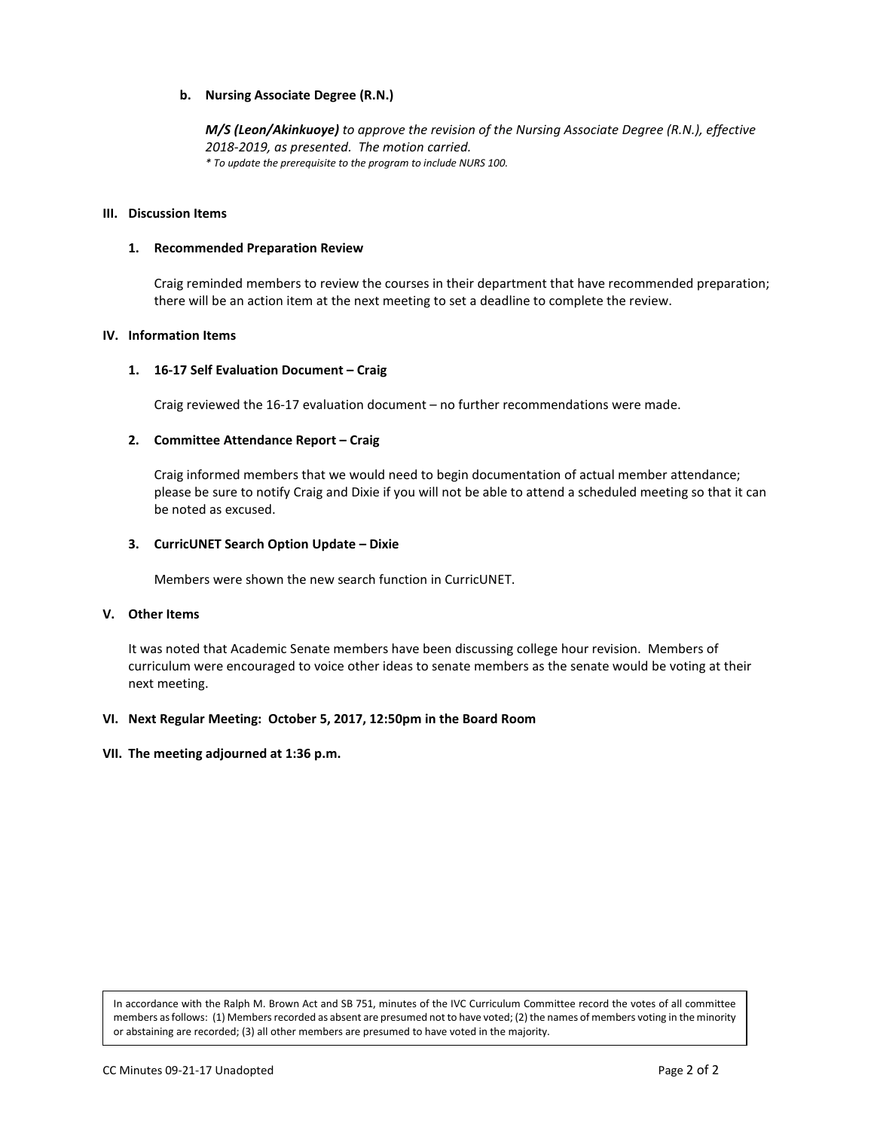# **b. Nursing Associate Degree (R.N.)**

*M/S (Leon/Akinkuoye) to approve the revision of the Nursing Associate Degree (R.N.), effective 2018-2019, as presented. The motion carried. \* To update the prerequisite to the program to include NURS 100.*

#### **III. Discussion Items**

#### **1. Recommended Preparation Review**

Craig reminded members to review the courses in their department that have recommended preparation; there will be an action item at the next meeting to set a deadline to complete the review.

#### **IV. Information Items**

#### **1. 16-17 Self Evaluation Document – Craig**

Craig reviewed the 16-17 evaluation document – no further recommendations were made.

#### **2. Committee Attendance Report – Craig**

Craig informed members that we would need to begin documentation of actual member attendance; please be sure to notify Craig and Dixie if you will not be able to attend a scheduled meeting so that it can be noted as excused.

#### **3. CurricUNET Search Option Update – Dixie**

Members were shown the new search function in CurricUNET.

#### **V. Other Items**

It was noted that Academic Senate members have been discussing college hour revision. Members of curriculum were encouraged to voice other ideas to senate members as the senate would be voting at their next meeting.

#### **VI. Next Regular Meeting: October 5, 2017, 12:50pm in the Board Room**

#### **VII. The meeting adjourned at 1:36 p.m.**

In accordance with the Ralph M. Brown Act and SB 751, minutes of the IVC Curriculum Committee record the votes of all committee members as follows: (1) Members recorded as absent are presumed not to have voted; (2) the names of members voting in the minority or abstaining are recorded; (3) all other members are presumed to have voted in the majority.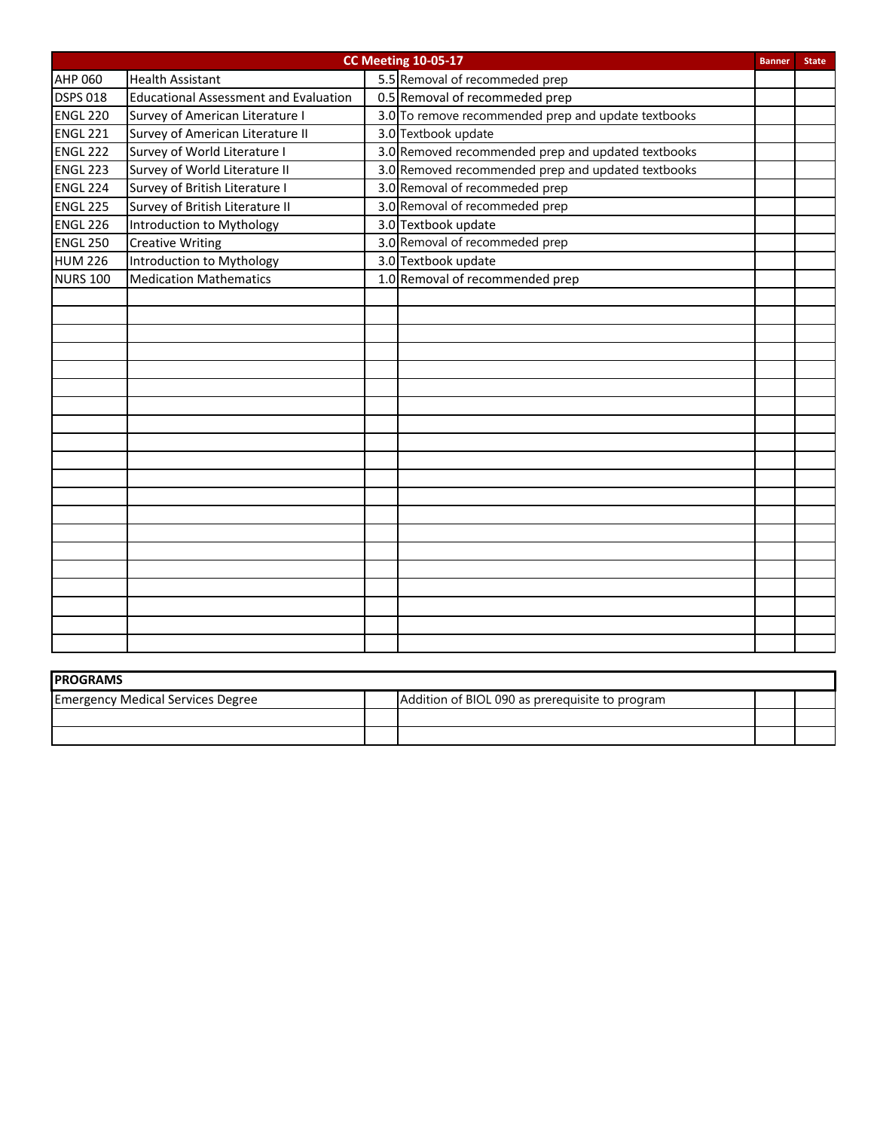| <b>CC Meeting 10-05-17</b><br><b>Banner</b> |                                              |  |                                                     |  | <b>State</b> |
|---------------------------------------------|----------------------------------------------|--|-----------------------------------------------------|--|--------------|
| <b>AHP 060</b>                              | <b>Health Assistant</b>                      |  | 5.5 Removal of recommeded prep                      |  |              |
| <b>DSPS 018</b>                             | <b>Educational Assessment and Evaluation</b> |  | 0.5 Removal of recommeded prep                      |  |              |
| <b>ENGL 220</b>                             | Survey of American Literature I              |  | 3.0 To remove recommended prep and update textbooks |  |              |
| <b>ENGL 221</b>                             | Survey of American Literature II             |  | 3.0 Textbook update                                 |  |              |
| <b>ENGL 222</b>                             | Survey of World Literature I                 |  | 3.0 Removed recommended prep and updated textbooks  |  |              |
| <b>ENGL 223</b>                             | Survey of World Literature II                |  | 3.0 Removed recommended prep and updated textbooks  |  |              |
| <b>ENGL 224</b>                             | Survey of British Literature I               |  | 3.0 Removal of recommeded prep                      |  |              |
| <b>ENGL 225</b>                             | Survey of British Literature II              |  | 3.0 Removal of recommeded prep                      |  |              |
| <b>ENGL 226</b>                             | Introduction to Mythology                    |  | 3.0 Textbook update                                 |  |              |
| <b>ENGL 250</b>                             | <b>Creative Writing</b>                      |  | 3.0 Removal of recommeded prep                      |  |              |
| <b>HUM 226</b>                              | Introduction to Mythology                    |  | 3.0 Textbook update                                 |  |              |
| <b>NURS 100</b>                             | <b>Medication Mathematics</b>                |  | 1.0 Removal of recommended prep                     |  |              |
|                                             |                                              |  |                                                     |  |              |
|                                             |                                              |  |                                                     |  |              |
|                                             |                                              |  |                                                     |  |              |
|                                             |                                              |  |                                                     |  |              |
|                                             |                                              |  |                                                     |  |              |
|                                             |                                              |  |                                                     |  |              |
|                                             |                                              |  |                                                     |  |              |
|                                             |                                              |  |                                                     |  |              |
|                                             |                                              |  |                                                     |  |              |
|                                             |                                              |  |                                                     |  |              |
|                                             |                                              |  |                                                     |  |              |
|                                             |                                              |  |                                                     |  |              |
|                                             |                                              |  |                                                     |  |              |
|                                             |                                              |  |                                                     |  |              |
|                                             |                                              |  |                                                     |  |              |
|                                             |                                              |  |                                                     |  |              |
|                                             |                                              |  |                                                     |  |              |
|                                             |                                              |  |                                                     |  |              |
|                                             |                                              |  |                                                     |  |              |
|                                             |                                              |  |                                                     |  |              |

| <b>IPROGRAMS</b>                         |  |                                                 |  |  |
|------------------------------------------|--|-------------------------------------------------|--|--|
| <b>Emergency Medical Services Degree</b> |  | Addition of BIOL 090 as prerequisite to program |  |  |
|                                          |  |                                                 |  |  |
|                                          |  |                                                 |  |  |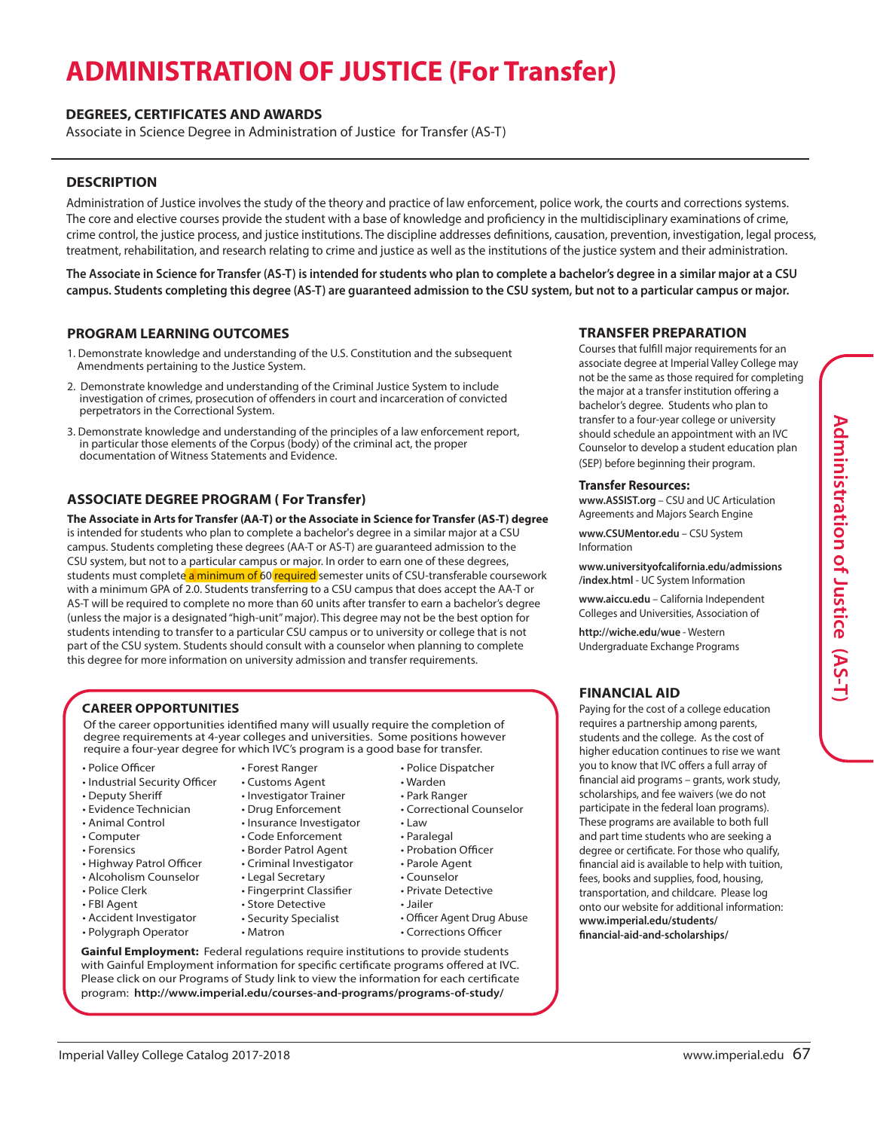# **ADMINISTRATION OF JUSTICE (For Transfer)**

# **DEGREES, CERTIFICATES AND AWARDS**

Associate in Science Degree in Administration of Justice for Transfer (AS-T)

# **DESCRIPTION**

Administration of Justice involves the study of the theory and practice of law enforcement, police work, the courts and corrections systems. The core and elective courses provide the student with a base of knowledge and proficiency in the multidisciplinary examinations of crime, crime control, the justice process, and justice institutions. The discipline addresses definitions, causation, prevention, investigation, legal process, treatment, rehabilitation, and research relating to crime and justice as well as the institutions of the justice system and their administration.

**The Associate in Science for Transfer (AS-T) is intended for students who plan to complete a bachelor's degree in a similar major at a CSU campus. Students completing this degree (AS-T) are guaranteed admission to the CSU system, but not to a particular campus or major.**

#### **PROGRAM LEARNING OUTCOMES**

- 1. Demonstrate knowledge and understanding of the U.S. Constitution and the subsequent Amendments pertaining to the Justice System.
- 2. Demonstrate knowledge and understanding of the Criminal Justice System to include investigation of crimes, prosecution of offenders in court and incarceration of convicted perpetrators in the Correctional System.
- 3. Demonstrate knowledge and understanding of the principles of a law enforcement report, in particular those elements of the Corpus (body) of the criminal act, the proper documentation of Witness Statements and Evidence.

# **ASSOCIATE DEGREE PROGRAM ( For Transfer)**

**The Associate in Arts for Transfer (AA-T) or the Associate in Science for Transfer (AS-T) degree** is intended for students who plan to complete a bachelor's degree in a similar major at a CSU campus. Students completing these degrees (AA-T or AS-T) are guaranteed admission to the CSU system, but not to a particular campus or major. In order to earn one of these degrees, students must complete a minimum of 60 required semester units of CSU-transferable coursework with a minimum GPA of 2.0. Students transferring to a CSU campus that does accept the AA-T or AS-T will be required to complete no more than 60 units after transfer to earn a bachelor's degree (unless the major is a designated "high-unit" major). This degree may not be the best option for students intending to transfer to a particular CSU campus or to university or college that is not part of the CSU system. Students should consult with a counselor when planning to complete this degree for more information on university admission and transfer requirements.

#### **CAREER OPPORTUNITIES**

Of the career opportunities identified many will usually require the completion of degree requirements at 4-year colleges and universities. Some positions however require a four-year degree for which IVC's program is a good base for transfer.

- Police Officer
- Industrial Security Officer
- Deputy Sheriff
- Evidence Technician
- Animal Control
- Computer
- Forensics
- Highway Patrol Officer
- Alcoholism Counselor
- Police Clerk
- FBI Agent
- Accident Investigator
- Polygraph Operator
- Forest Ranger • Customs Agent
- Investigator Trainer
- Drug Enforcement
- Insurance Investigator
- Code Enforcement
- Border Patrol Agent
- Criminal Investigator
- Legal Secretary
- Fingerprint Classifier
- Store Detective
- Security Specialist
- Matron
	-
- Park Ranger
	- Correctional Counselor
		-
		-
		-
		-
	-
	-
- Jailer
- 
- 
- Police Dispatcher • Warden
- 
- Law
- Paralegal
- Probation Officer
- Parole Agent
- Counselor
- Private Detective
- 
- - Officer Agent Drug Abuse • Corrections Officer

**Gainful Employment:** Federal regulations require institutions to provide students with Gainful Employment information for specific certificate programs offered at IVC. Please click on our Programs of Study link to view the information for each certificate program: **http://www.imperial.edu/courses-and-programs/programs-of-study/**

# **TRANSFER PREPARATION**

Courses that fulfill major requirements for an associate degree at Imperial Valley College may not be the same as those required for completing the major at a transfer institution offering a bachelor's degree. Students who plan to transfer to a four-year college or university should schedule an appointment with an IVC Counselor to develop a student education plan (SEP) before beginning their program.

#### **Transfer Resources:**

**www.ASSIST.org** – CSU and UC Articulation Agreements and Majors Search Engine

**www.CSUMentor.edu** – CSU System Information

**www.universityofcalifornia.edu/admissions /index.html** - UC System Information

**www.aiccu.edu** – California Independent Colleges and Universities, Association of

**http://wiche.edu/wue** - Western Undergraduate Exchange Programs

# **FINANCIAL AID**

Paying for the cost of a college education requires a partnership among parents, students and the college. As the cost of higher education continues to rise we want you to know that IVC offers a full array of financial aid programs – grants, work study, scholarships, and fee waivers (we do not participate in the federal loan programs). These programs are available to both full and part time students who are seeking a degree or certificate. For those who qualify, financial aid is available to help with tuition, fees, books and supplies, food, housing, transportation, and childcare. Please log onto our website for additional information: **www.imperial.edu/students/ financial-aid-and-scholarships/**